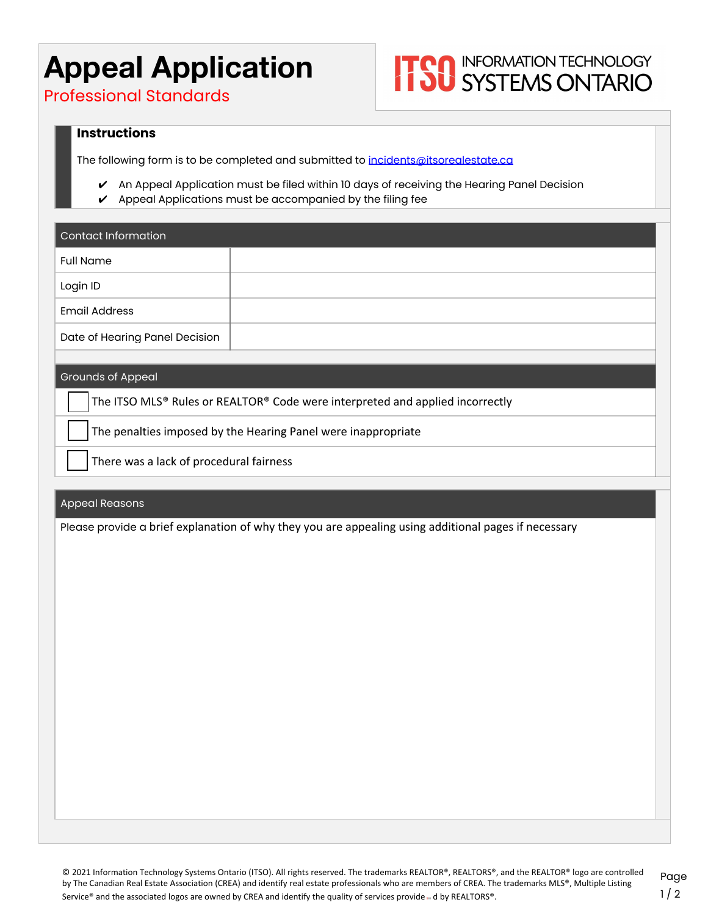## **Appeal Application**

# **ITOO INFORMATION TECHNOLOGY**<br> **ITOO SYSTEMS ONTARIO**

Professional Standards

#### **Instructions**

The following form is to be completed and submitted to [incidents@itsorealestate.ca](mailto:incidents@itsorealestate.ca)

- ✔ An Appeal Application must be filed within 10 days of receiving the Hearing Panel Decision
- $\checkmark$  Appeal Applications must be accompanied by the filing fee

| Contact Information            |  |
|--------------------------------|--|
| <b>Full Name</b>               |  |
| Login ID                       |  |
| <b>Email Address</b>           |  |
| Date of Hearing Panel Decision |  |

#### Grounds of Appeal

The ITSO MLS® Rules or REALTOR® Code were interpreted and applied incorrectly

The penalties imposed by the Hearing Panel were inappropriate

❏ There was a lack of procedural fairness

#### Appeal Reasons

Please provide a brief explanation of why they you are appealing using additional pages if necessary